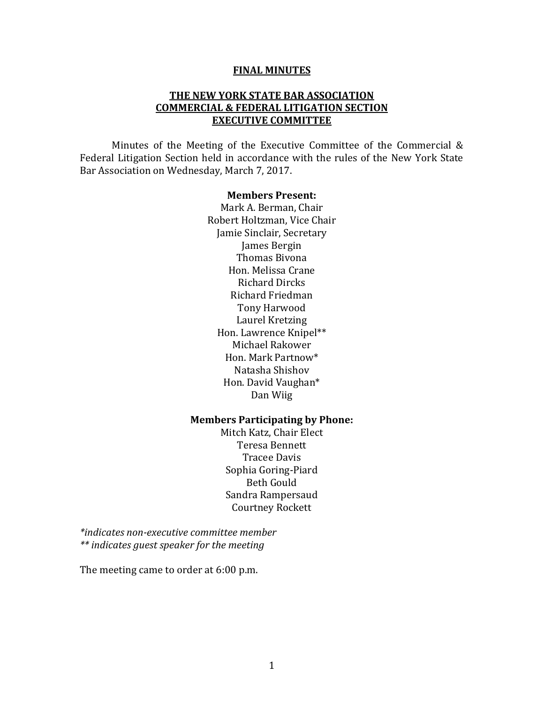#### **FINAL MINUTES**

#### **THE NEW YORK STATE BAR ASSOCIATION COMMERCIAL & FEDERAL LITIGATION SECTION EXECUTIVE COMMITTEE**

Minutes of the Meeting of the Executive Committee of the Commercial & Federal Litigation Section held in accordance with the rules of the New York State Bar Association on Wednesday, March 7, 2017.

#### **Members Present:**

Mark A. Berman, Chair Robert Holtzman, Vice Chair Jamie Sinclair, Secretary James Bergin Thomas Bivona Hon. Melissa Crane Richard Dircks Richard Friedman Tony Harwood Laurel Kretzing Hon. Lawrence Knipel\*\* Michael Rakower Hon. Mark Partnow\* Natasha Shishov Hon. David Vaughan\* Dan Wiig

#### **Members Participating by Phone:**

Mitch Katz, Chair Elect Teresa Bennett Tracee Davis Sophia Goring-Piard Beth Gould Sandra Rampersaud Courtney Rockett

*\*indicates non-executive committee member \*\* indicates guest speaker for the meeting* 

The meeting came to order at 6:00 p.m.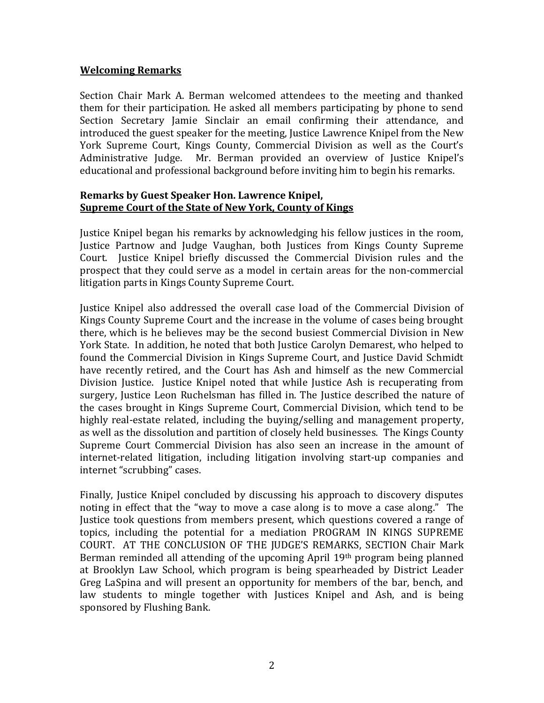#### **Welcoming Remarks**

Section Chair Mark A. Berman welcomed attendees to the meeting and thanked them for their participation. He asked all members participating by phone to send Section Secretary Jamie Sinclair an email confirming their attendance, and introduced the guest speaker for the meeting, Justice Lawrence Knipel from the New York Supreme Court, Kings County, Commercial Division as well as the Court's Administrative Judge. Mr. Berman provided an overview of Justice Knipel's educational and professional background before inviting him to begin his remarks.

#### **Remarks by Guest Speaker Hon. Lawrence Knipel, Supreme Court of the State of New York, County of Kings**

Justice Knipel began his remarks by acknowledging his fellow justices in the room, Justice Partnow and Judge Vaughan, both Justices from Kings County Supreme Court. Justice Knipel briefly discussed the Commercial Division rules and the prospect that they could serve as a model in certain areas for the non-commercial litigation parts in Kings County Supreme Court.

Justice Knipel also addressed the overall case load of the Commercial Division of Kings County Supreme Court and the increase in the volume of cases being brought there, which is he believes may be the second busiest Commercial Division in New York State. In addition, he noted that both Justice Carolyn Demarest, who helped to found the Commercial Division in Kings Supreme Court, and Justice David Schmidt have recently retired, and the Court has Ash and himself as the new Commercial Division Justice. Justice Knipel noted that while Justice Ash is recuperating from surgery, Justice Leon Ruchelsman has filled in. The Justice described the nature of the cases brought in Kings Supreme Court, Commercial Division, which tend to be highly real-estate related, including the buying/selling and management property, as well as the dissolution and partition of closely held businesses. The Kings County Supreme Court Commercial Division has also seen an increase in the amount of internet-related litigation, including litigation involving start-up companies and internet "scrubbing" cases.

Finally, Justice Knipel concluded by discussing his approach to discovery disputes noting in effect that the "way to move a case along is to move a case along." The Justice took questions from members present, which questions covered a range of topics, including the potential for a mediation PROGRAM IN KINGS SUPREME COURT. AT THE CONCLUSION OF THE JUDGE'S REMARKS, SECTION Chair Mark Berman reminded all attending of the upcoming April 19th program being planned at Brooklyn Law School, which program is being spearheaded by District Leader Greg LaSpina and will present an opportunity for members of the bar, bench, and law students to mingle together with Justices Knipel and Ash, and is being sponsored by Flushing Bank.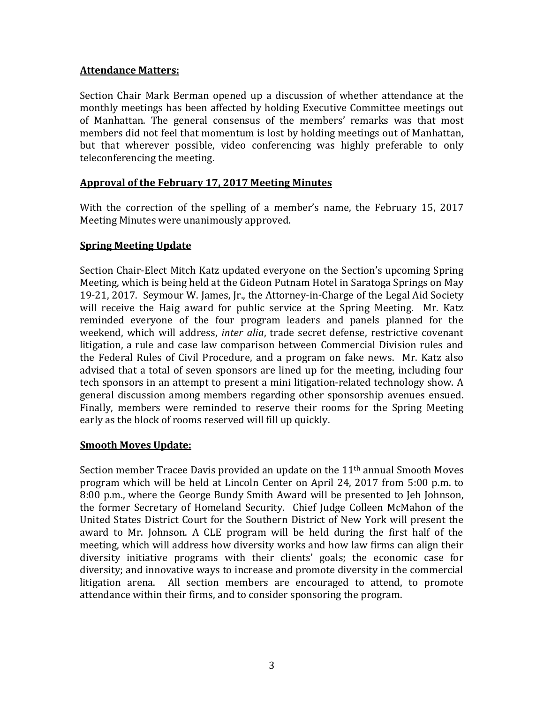### **Attendance Matters:**

Section Chair Mark Berman opened up a discussion of whether attendance at the monthly meetings has been affected by holding Executive Committee meetings out of Manhattan. The general consensus of the members' remarks was that most members did not feel that momentum is lost by holding meetings out of Manhattan, but that wherever possible, video conferencing was highly preferable to only teleconferencing the meeting.

#### **Approval of the February 17, 2017 Meeting Minutes**

With the correction of the spelling of a member's name, the February 15, 2017 Meeting Minutes were unanimously approved.

## **Spring Meeting Update**

Section Chair-Elect Mitch Katz updated everyone on the Section's upcoming Spring Meeting, which is being held at the Gideon Putnam Hotel in Saratoga Springs on May 19-21, 2017. Seymour W. James, Jr., the Attorney-in-Charge of the Legal Aid Society will receive the Haig award for public service at the Spring Meeting. Mr. Katz reminded everyone of the four program leaders and panels planned for the weekend, which will address, *inter alia*, trade secret defense, restrictive covenant litigation, a rule and case law comparison between Commercial Division rules and the Federal Rules of Civil Procedure, and a program on fake news. Mr. Katz also advised that a total of seven sponsors are lined up for the meeting, including four tech sponsors in an attempt to present a mini litigation-related technology show. A general discussion among members regarding other sponsorship avenues ensued. Finally, members were reminded to reserve their rooms for the Spring Meeting early as the block of rooms reserved will fill up quickly.

#### **Smooth Moves Update:**

Section member Tracee Davis provided an update on the 11<sup>th</sup> annual Smooth Moves program which will be held at Lincoln Center on April 24, 2017 from 5:00 p.m. to 8:00 p.m., where the George Bundy Smith Award will be presented to Jeh Johnson, the former Secretary of Homeland Security. Chief Judge Colleen McMahon of the United States District Court for the Southern District of New York will present the award to Mr. Johnson. A CLE program will be held during the first half of the meeting, which will address how diversity works and how law firms can align their diversity initiative programs with their clients' goals; the economic case for diversity; and innovative ways to increase and promote diversity in the commercial litigation arena. All section members are encouraged to attend, to promote attendance within their firms, and to consider sponsoring the program.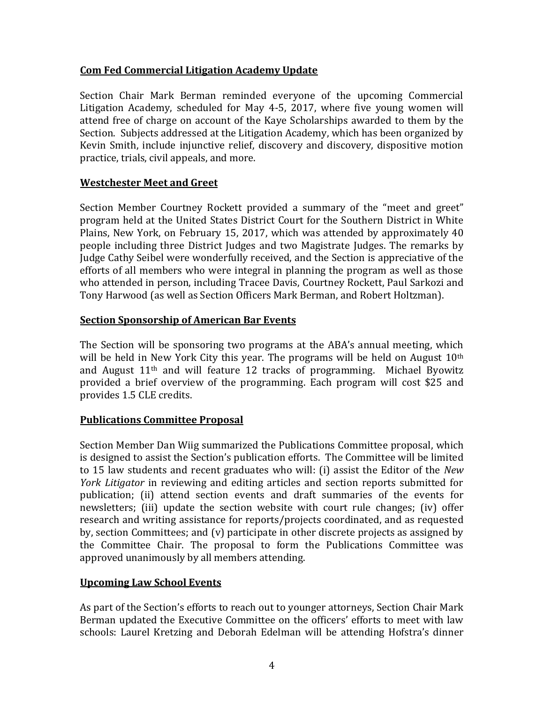## **Com Fed Commercial Litigation Academy Update**

Section Chair Mark Berman reminded everyone of the upcoming Commercial Litigation Academy, scheduled for May 4-5, 2017, where five young women will attend free of charge on account of the Kaye Scholarships awarded to them by the Section. Subjects addressed at the Litigation Academy, which has been organized by Kevin Smith, include injunctive relief, discovery and discovery, dispositive motion practice, trials, civil appeals, and more.

## **Westchester Meet and Greet**

Section Member Courtney Rockett provided a summary of the "meet and greet" program held at the United States District Court for the Southern District in White Plains, New York, on February 15, 2017, which was attended by approximately 40 people including three District Judges and two Magistrate Judges. The remarks by Judge Cathy Seibel were wonderfully received, and the Section is appreciative of the efforts of all members who were integral in planning the program as well as those who attended in person, including Tracee Davis, Courtney Rockett, Paul Sarkozi and Tony Harwood (as well as Section Officers Mark Berman, and Robert Holtzman).

## **Section Sponsorship of American Bar Events**

The Section will be sponsoring two programs at the ABA's annual meeting, which will be held in New York City this year. The programs will be held on August  $10<sup>th</sup>$ and August 11th and will feature 12 tracks of programming. Michael Byowitz provided a brief overview of the programming. Each program will cost \$25 and provides 1.5 CLE credits.

# **Publications Committee Proposal**

Section Member Dan Wiig summarized the Publications Committee proposal, which is designed to assist the Section's publication efforts. The Committee will be limited to 15 law students and recent graduates who will: (i) assist the Editor of the *New York Litigator* in reviewing and editing articles and section reports submitted for publication; (ii) attend section events and draft summaries of the events for newsletters; (iii) update the section website with court rule changes; (iv) offer research and writing assistance for reports/projects coordinated, and as requested by, section Committees; and (v) participate in other discrete projects as assigned by the Committee Chair. The proposal to form the Publications Committee was approved unanimously by all members attending.

# **Upcoming Law School Events**

As part of the Section's efforts to reach out to younger attorneys, Section Chair Mark Berman updated the Executive Committee on the officers' efforts to meet with law schools: Laurel Kretzing and Deborah Edelman will be attending Hofstra's dinner